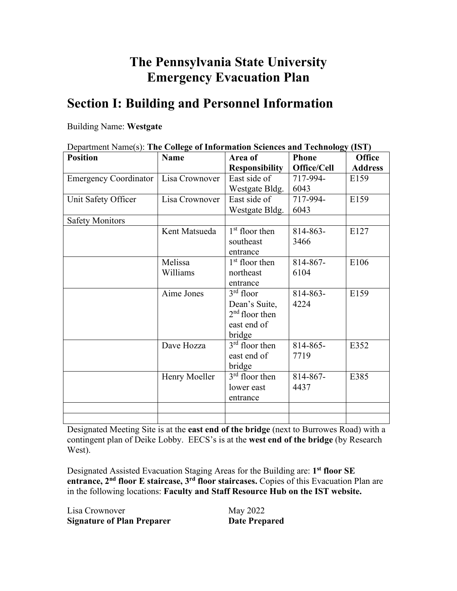## **The Pennsylvania State University Emergency Evacuation Plan**

## **Section I: Building and Personnel Information**

#### Building Name: **Westgate**

| Department Name(s): The College of Information Sciences and Technology (IST) |                |                            |              |                |
|------------------------------------------------------------------------------|----------------|----------------------------|--------------|----------------|
| <b>Position</b>                                                              | <b>Name</b>    | Area of                    | <b>Phone</b> | <b>Office</b>  |
|                                                                              |                | <b>Responsibility</b>      | Office/Cell  | <b>Address</b> |
| <b>Emergency Coordinator</b>                                                 | Lisa Crownover | East side of               | 717-994-     | E159           |
|                                                                              |                | Westgate Bldg.             | 6043         |                |
| Unit Safety Officer                                                          | Lisa Crownover | East side of               | 717-994-     | E159           |
|                                                                              |                | Westgate Bldg.             | 6043         |                |
| <b>Safety Monitors</b>                                                       |                |                            |              |                |
|                                                                              | Kent Matsueda  | 1 <sup>st</sup> floor then | 814-863-     | E127           |
|                                                                              |                | southeast                  | 3466         |                |
|                                                                              |                | entrance                   |              |                |
|                                                                              | Melissa        | $1st$ floor then           | 814-867-     | E106           |
|                                                                              | Williams       | northeast                  | 6104         |                |
|                                                                              |                | entrance                   |              |                |
|                                                                              | Aime Jones     | $3rd$ floor                | 814-863-     | E159           |
|                                                                              |                | Dean's Suite,              | 4224         |                |
|                                                                              |                | $2nd$ floor then           |              |                |
|                                                                              |                | east end of                |              |                |
|                                                                              |                | bridge                     |              |                |
|                                                                              | Dave Hozza     | $3rd$ floor then           | 814-865-     | E352           |
|                                                                              |                | east end of                | 7719         |                |
|                                                                              |                | bridge                     |              |                |
|                                                                              | Henry Moeller  | $3rd$ floor then           | 814-867-     | E385           |
|                                                                              |                | lower east                 | 4437         |                |
|                                                                              |                | entrance                   |              |                |
|                                                                              |                |                            |              |                |
|                                                                              |                |                            |              |                |

Designated Meeting Site is at the **east end of the bridge** (next to Burrowes Road) with a contingent plan of Deike Lobby.EECS's is at the **west end of the bridge** (by Research West).

Designated Assisted Evacuation Staging Areas for the Building are: **1st floor SE entrance, 2nd floor E staircase, 3rd floor staircases.** Copies of this Evacuation Plan are in the following locations: **Faculty and Staff Resource Hub on the IST website.**

| May 2022 |
|----------|
|          |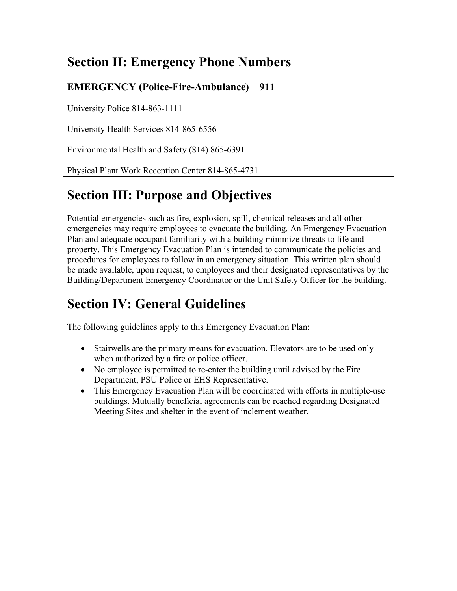## **Section II: Emergency Phone Numbers**

### **EMERGENCY (Police-Fire-Ambulance) 911**

University Police 814-863-1111

University Health Services 814-865-6556

Environmental Health and Safety (814) 865-6391

Physical Plant Work Reception Center 814-865-4731

## **Section III: Purpose and Objectives**

Potential emergencies such as fire, explosion, spill, chemical releases and all other emergencies may require employees to evacuate the building. An Emergency Evacuation Plan and adequate occupant familiarity with a building minimize threats to life and property. This Emergency Evacuation Plan is intended to communicate the policies and procedures for employees to follow in an emergency situation. This written plan should be made available, upon request, to employees and their designated representatives by the Building/Department Emergency Coordinator or the Unit Safety Officer for the building.

## **Section IV: General Guidelines**

The following guidelines apply to this Emergency Evacuation Plan:

- Stairwells are the primary means for evacuation. Elevators are to be used only when authorized by a fire or police officer.
- No employee is permitted to re-enter the building until advised by the Fire Department, PSU Police or EHS Representative.
- This Emergency Evacuation Plan will be coordinated with efforts in multiple-use buildings. Mutually beneficial agreements can be reached regarding Designated Meeting Sites and shelter in the event of inclement weather.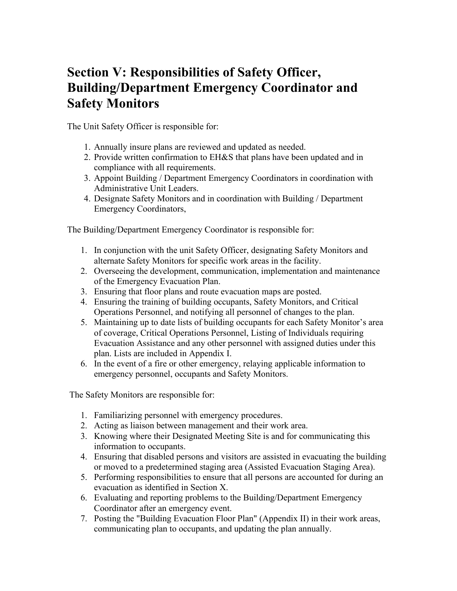## **Section V: Responsibilities of Safety Officer, Building/Department Emergency Coordinator and Safety Monitors**

The Unit Safety Officer is responsible for:

- 1. Annually insure plans are reviewed and updated as needed.
- 2. Provide written confirmation to EH&S that plans have been updated and in compliance with all requirements.
- 3. Appoint Building / Department Emergency Coordinators in coordination with Administrative Unit Leaders.
- 4. Designate Safety Monitors and in coordination with Building / Department Emergency Coordinators,

The Building/Department Emergency Coordinator is responsible for:

- 1. In conjunction with the unit Safety Officer, designating Safety Monitors and alternate Safety Monitors for specific work areas in the facility.
- 2. Overseeing the development, communication, implementation and maintenance of the Emergency Evacuation Plan.
- 3. Ensuring that floor plans and route evacuation maps are posted.
- 4. Ensuring the training of building occupants, Safety Monitors, and Critical Operations Personnel, and notifying all personnel of changes to the plan.
- 5. Maintaining up to date lists of building occupants for each Safety Monitor's area of coverage, Critical Operations Personnel, Listing of Individuals requiring Evacuation Assistance and any other personnel with assigned duties under this plan. Lists are included in Appendix I.
- 6. In the event of a fire or other emergency, relaying applicable information to emergency personnel, occupants and Safety Monitors.

The Safety Monitors are responsible for:

- 1. Familiarizing personnel with emergency procedures.
- 2. Acting as liaison between management and their work area.
- 3. Knowing where their Designated Meeting Site is and for communicating this information to occupants.
- 4. Ensuring that disabled persons and visitors are assisted in evacuating the building or moved to a predetermined staging area (Assisted Evacuation Staging Area).
- 5. Performing responsibilities to ensure that all persons are accounted for during an evacuation as identified in Section X.
- 6. Evaluating and reporting problems to the Building/Department Emergency Coordinator after an emergency event.
- 7. Posting the "Building Evacuation Floor Plan" (Appendix II) in their work areas, communicating plan to occupants, and updating the plan annually.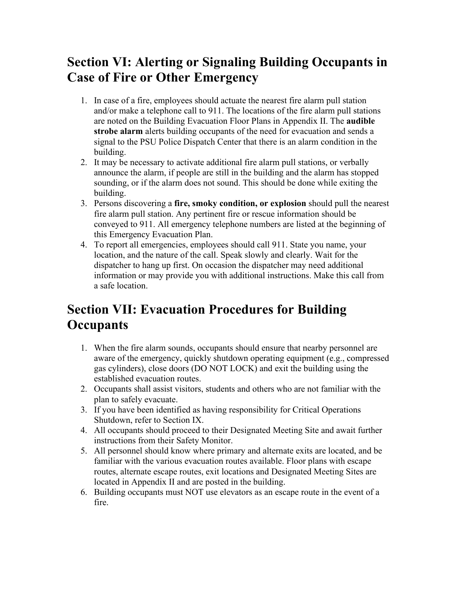## **Section VI: Alerting or Signaling Building Occupants in Case of Fire or Other Emergency**

- 1. In case of a fire, employees should actuate the nearest fire alarm pull station and/or make a telephone call to 911. The locations of the fire alarm pull stations are noted on the Building Evacuation Floor Plans in Appendix II. The **audible strobe alarm** alerts building occupants of the need for evacuation and sends a signal to the PSU Police Dispatch Center that there is an alarm condition in the building.
- 2. It may be necessary to activate additional fire alarm pull stations, or verbally announce the alarm, if people are still in the building and the alarm has stopped sounding, or if the alarm does not sound. This should be done while exiting the building.
- 3. Persons discovering a **fire, smoky condition, or explosion** should pull the nearest fire alarm pull station. Any pertinent fire or rescue information should be conveyed to 911. All emergency telephone numbers are listed at the beginning of this Emergency Evacuation Plan.
- 4. To report all emergencies, employees should call 911. State you name, your location, and the nature of the call. Speak slowly and clearly. Wait for the dispatcher to hang up first. On occasion the dispatcher may need additional information or may provide you with additional instructions. Make this call from a safe location.

## **Section VII: Evacuation Procedures for Building Occupants**

- 1. When the fire alarm sounds, occupants should ensure that nearby personnel are aware of the emergency, quickly shutdown operating equipment (e.g., compressed gas cylinders), close doors (DO NOT LOCK) and exit the building using the established evacuation routes.
- 2. Occupants shall assist visitors, students and others who are not familiar with the plan to safely evacuate.
- 3. If you have been identified as having responsibility for Critical Operations Shutdown, refer to Section IX.
- 4. All occupants should proceed to their Designated Meeting Site and await further instructions from their Safety Monitor.
- 5. All personnel should know where primary and alternate exits are located, and be familiar with the various evacuation routes available. Floor plans with escape routes, alternate escape routes, exit locations and Designated Meeting Sites are located in Appendix II and are posted in the building.
- 6. Building occupants must NOT use elevators as an escape route in the event of a fire.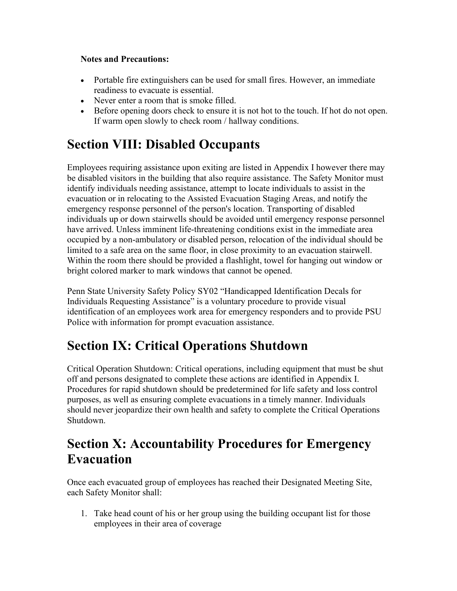#### **Notes and Precautions:**

- Portable fire extinguishers can be used for small fires. However, an immediate readiness to evacuate is essential.
- Never enter a room that is smoke filled.
- Before opening doors check to ensure it is not hot to the touch. If hot do not open. If warm open slowly to check room / hallway conditions.

## **Section VIII: Disabled Occupants**

Employees requiring assistance upon exiting are listed in Appendix I however there may be disabled visitors in the building that also require assistance. The Safety Monitor must identify individuals needing assistance, attempt to locate individuals to assist in the evacuation or in relocating to the Assisted Evacuation Staging Areas, and notify the emergency response personnel of the person's location. Transporting of disabled individuals up or down stairwells should be avoided until emergency response personnel have arrived. Unless imminent life-threatening conditions exist in the immediate area occupied by a non-ambulatory or disabled person, relocation of the individual should be limited to a safe area on the same floor, in close proximity to an evacuation stairwell. Within the room there should be provided a flashlight, towel for hanging out window or bright colored marker to mark windows that cannot be opened.

Penn State University Safety Policy SY02 "Handicapped Identification Decals for Individuals Requesting Assistance" is a voluntary procedure to provide visual identification of an employees work area for emergency responders and to provide PSU Police with information for prompt evacuation assistance.

## **Section IX: Critical Operations Shutdown**

Critical Operation Shutdown: Critical operations, including equipment that must be shut off and persons designated to complete these actions are identified in Appendix I. Procedures for rapid shutdown should be predetermined for life safety and loss control purposes, as well as ensuring complete evacuations in a timely manner. Individuals should never jeopardize their own health and safety to complete the Critical Operations Shutdown.

### **Section X: Accountability Procedures for Emergency Evacuation**

Once each evacuated group of employees has reached their Designated Meeting Site, each Safety Monitor shall:

1. Take head count of his or her group using the building occupant list for those employees in their area of coverage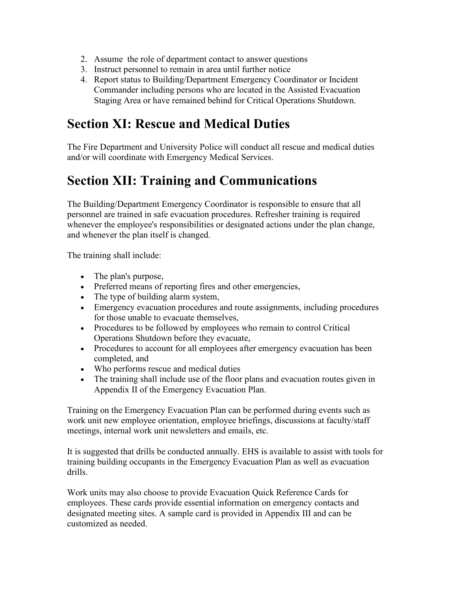- 2. Assume the role of department contact to answer questions
- 3. Instruct personnel to remain in area until further notice
- 4. Report status to Building/Department Emergency Coordinator or Incident Commander including persons who are located in the Assisted Evacuation Staging Area or have remained behind for Critical Operations Shutdown.

### **Section XI: Rescue and Medical Duties**

The Fire Department and University Police will conduct all rescue and medical duties and/or will coordinate with Emergency Medical Services.

## **Section XII: Training and Communications**

The Building/Department Emergency Coordinator is responsible to ensure that all personnel are trained in safe evacuation procedures. Refresher training is required whenever the employee's responsibilities or designated actions under the plan change, and whenever the plan itself is changed.

The training shall include:

- The plan's purpose,
- Preferred means of reporting fires and other emergencies,
- The type of building alarm system,
- Emergency evacuation procedures and route assignments, including procedures for those unable to evacuate themselves,
- Procedures to be followed by employees who remain to control Critical Operations Shutdown before they evacuate,
- Procedures to account for all employees after emergency evacuation has been completed, and
- Who performs rescue and medical duties
- The training shall include use of the floor plans and evacuation routes given in Appendix II of the Emergency Evacuation Plan.

Training on the Emergency Evacuation Plan can be performed during events such as work unit new employee orientation, employee briefings, discussions at faculty/staff meetings, internal work unit newsletters and emails, etc.

It is suggested that drills be conducted annually. EHS is available to assist with tools for training building occupants in the Emergency Evacuation Plan as well as evacuation drills.

Work units may also choose to provide Evacuation Quick Reference Cards for employees. These cards provide essential information on emergency contacts and designated meeting sites. A sample card is provided in Appendix III and can be customized as needed.